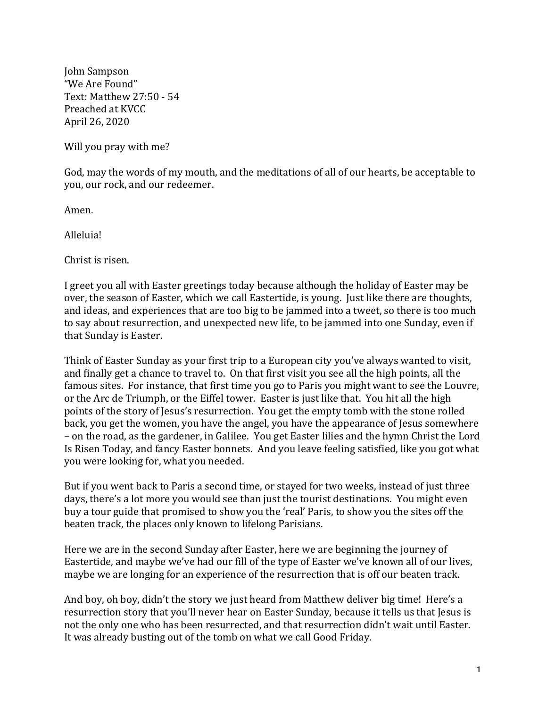John Sampson "We Are Found" Text: Matthew 27:50 - 54 Preached at KVCC April 26, 2020

Will you pray with me?

God, may the words of my mouth, and the meditations of all of our hearts, be acceptable to you, our rock, and our redeemer.

Amen.

Alleluia!

Christ is risen.

I greet you all with Easter greetings today because although the holiday of Easter may be over, the season of Easter, which we call Eastertide, is young. Just like there are thoughts, and ideas, and experiences that are too big to be jammed into a tweet, so there is too much to say about resurrection, and unexpected new life, to be jammed into one Sunday, even if that Sunday is Easter.

Think of Easter Sunday as your first trip to a European city you've always wanted to visit, and finally get a chance to travel to. On that first visit you see all the high points, all the famous sites. For instance, that first time you go to Paris you might want to see the Louvre, or the Arc de Triumph, or the Eiffel tower. Easter is just like that. You hit all the high points of the story of Jesus's resurrection. You get the empty tomb with the stone rolled back, you get the women, you have the angel, you have the appearance of Jesus somewhere – on the road, as the gardener, in Galilee. You get Easter lilies and the hymn Christ the Lord Is Risen Today, and fancy Easter bonnets. And you leave feeling satisfied, like you got what you were looking for, what you needed.

But if you went back to Paris a second time, or stayed for two weeks, instead of just three days, there's a lot more you would see than just the tourist destinations. You might even buy a tour guide that promised to show you the 'real' Paris, to show you the sites off the beaten track, the places only known to lifelong Parisians.

Here we are in the second Sunday after Easter, here we are beginning the journey of Eastertide, and maybe we've had our fill of the type of Easter we've known all of our lives, maybe we are longing for an experience of the resurrection that is off our beaten track.

And boy, oh boy, didn't the story we just heard from Matthew deliver big time! Here's a resurrection story that you'll never hear on Easter Sunday, because it tells us that Jesus is not the only one who has been resurrected, and that resurrection didn't wait until Easter. It was already busting out of the tomb on what we call Good Friday.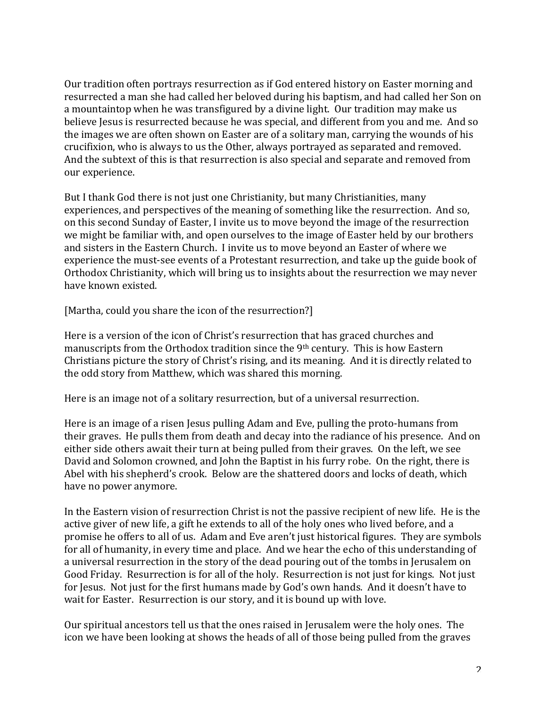Our tradition often portrays resurrection as if God entered history on Easter morning and resurrected a man she had called her beloved during his baptism, and had called her Son on a mountaintop when he was transfigured by a divine light. Our tradition may make us believe Jesus is resurrected because he was special, and different from you and me. And so the images we are often shown on Easter are of a solitary man, carrying the wounds of his crucifixion, who is always to us the Other, always portrayed as separated and removed. And the subtext of this is that resurrection is also special and separate and removed from our experience.

But I thank God there is not just one Christianity, but many Christianities, many experiences, and perspectives of the meaning of something like the resurrection. And so, on this second Sunday of Easter, I invite us to move beyond the image of the resurrection we might be familiar with, and open ourselves to the image of Easter held by our brothers and sisters in the Eastern Church. I invite us to move beyond an Easter of where we experience the must-see events of a Protestant resurrection, and take up the guide book of Orthodox Christianity, which will bring us to insights about the resurrection we may never have known existed.

[Martha, could you share the icon of the resurrection?]

Here is a version of the icon of Christ's resurrection that has graced churches and manuscripts from the Orthodox tradition since the  $9<sup>th</sup>$  century. This is how Eastern Christians picture the story of Christ's rising, and its meaning. And it is directly related to the odd story from Matthew, which was shared this morning.

Here is an image not of a solitary resurrection, but of a universal resurrection.

Here is an image of a risen Jesus pulling Adam and Eve, pulling the proto-humans from their graves. He pulls them from death and decay into the radiance of his presence. And on either side others await their turn at being pulled from their graves. On the left, we see David and Solomon crowned, and John the Baptist in his furry robe. On the right, there is Abel with his shepherd's crook. Below are the shattered doors and locks of death, which have no power anymore.

In the Eastern vision of resurrection Christ is not the passive recipient of new life. He is the active giver of new life, a gift he extends to all of the holy ones who lived before, and a promise he offers to all of us. Adam and Eve aren't just historical figures. They are symbols for all of humanity, in every time and place. And we hear the echo of this understanding of a universal resurrection in the story of the dead pouring out of the tombs in Jerusalem on Good Friday. Resurrection is for all of the holy. Resurrection is not just for kings. Not just for Jesus. Not just for the first humans made by God's own hands. And it doesn't have to wait for Easter. Resurrection is our story, and it is bound up with love.

Our spiritual ancestors tell us that the ones raised in Jerusalem were the holy ones. The icon we have been looking at shows the heads of all of those being pulled from the graves